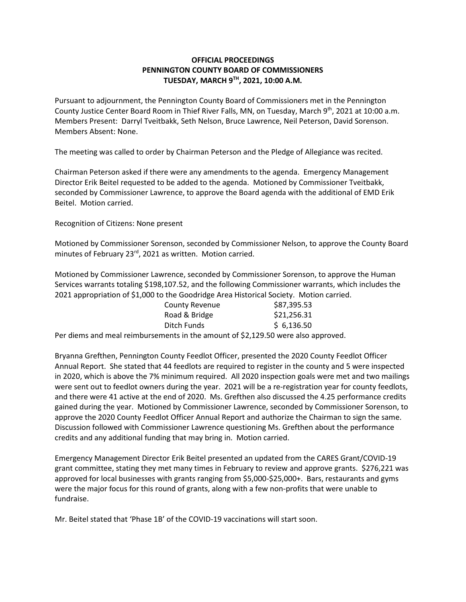## **OFFICIAL PROCEEDINGS PENNINGTON COUNTY BOARD OF COMMISSIONERS TUESDAY, MARCH 9TH , 2021, 10:00 A.M.**

Pursuant to adjournment, the Pennington County Board of Commissioners met in the Pennington County Justice Center Board Room in Thief River Falls, MN, on Tuesday, March 9<sup>th</sup>, 2021 at 10:00 a.m. Members Present: Darryl Tveitbakk, Seth Nelson, Bruce Lawrence, Neil Peterson, David Sorenson. Members Absent: None.

The meeting was called to order by Chairman Peterson and the Pledge of Allegiance was recited.

Chairman Peterson asked if there were any amendments to the agenda. Emergency Management Director Erik Beitel requested to be added to the agenda. Motioned by Commissioner Tveitbakk, seconded by Commissioner Lawrence, to approve the Board agenda with the additional of EMD Erik Beitel. Motion carried.

Recognition of Citizens: None present

Motioned by Commissioner Sorenson, seconded by Commissioner Nelson, to approve the County Board minutes of February 23<sup>rd</sup>, 2021 as written. Motion carried.

Motioned by Commissioner Lawrence, seconded by Commissioner Sorenson, to approve the Human Services warrants totaling \$198,107.52, and the following Commissioner warrants, which includes the 2021 appropriation of \$1,000 to the Goodridge Area Historical Society. Motion carried.

| <b>County Revenue</b> | \$87,395.53  |
|-----------------------|--------------|
| Road & Bridge         | \$21,256.31  |
| Ditch Funds           | \$6,136.50   |
|                       | $-1$ $    -$ |

Per diems and meal reimbursements in the amount of \$2,129.50 were also approved.

Bryanna Grefthen, Pennington County Feedlot Officer, presented the 2020 County Feedlot Officer Annual Report. She stated that 44 feedlots are required to register in the county and 5 were inspected in 2020, which is above the 7% minimum required. All 2020 inspection goals were met and two mailings were sent out to feedlot owners during the year. 2021 will be a re-registration year for county feedlots, and there were 41 active at the end of 2020. Ms. Grefthen also discussed the 4.25 performance credits gained during the year. Motioned by Commissioner Lawrence, seconded by Commissioner Sorenson, to approve the 2020 County Feedlot Officer Annual Report and authorize the Chairman to sign the same. Discussion followed with Commissioner Lawrence questioning Ms. Grefthen about the performance credits and any additional funding that may bring in. Motion carried.

Emergency Management Director Erik Beitel presented an updated from the CARES Grant/COVID-19 grant committee, stating they met many times in February to review and approve grants. \$276,221 was approved for local businesses with grants ranging from \$5,000-\$25,000+. Bars, restaurants and gyms were the major focus for this round of grants, along with a few non-profits that were unable to fundraise.

Mr. Beitel stated that 'Phase 1B' of the COVID-19 vaccinations will start soon.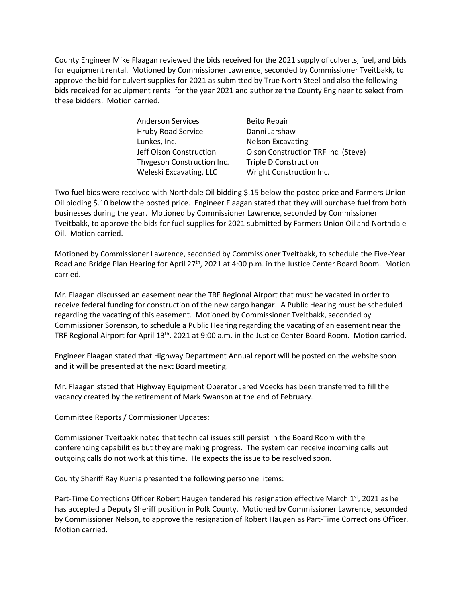County Engineer Mike Flaagan reviewed the bids received for the 2021 supply of culverts, fuel, and bids for equipment rental. Motioned by Commissioner Lawrence, seconded by Commissioner Tveitbakk, to approve the bid for culvert supplies for 2021 as submitted by True North Steel and also the following bids received for equipment rental for the year 2021 and authorize the County Engineer to select from these bidders. Motion carried.

> Anderson Services Beito Repair Hruby Road Service Danni Jarshaw Lunkes, Inc. Nelson Excavating Thygeson Construction Inc. Triple D Construction Weleski Excavating, LLC Wright Construction Inc.

Jeff Olson Construction Olson Construction TRF Inc. (Steve)

Two fuel bids were received with Northdale Oil bidding \$.15 below the posted price and Farmers Union Oil bidding \$.10 below the posted price. Engineer Flaagan stated that they will purchase fuel from both businesses during the year. Motioned by Commissioner Lawrence, seconded by Commissioner Tveitbakk, to approve the bids for fuel supplies for 2021 submitted by Farmers Union Oil and Northdale Oil. Motion carried.

Motioned by Commissioner Lawrence, seconded by Commissioner Tveitbakk, to schedule the Five-Year Road and Bridge Plan Hearing for April 27<sup>th</sup>, 2021 at 4:00 p.m. in the Justice Center Board Room. Motion carried.

Mr. Flaagan discussed an easement near the TRF Regional Airport that must be vacated in order to receive federal funding for construction of the new cargo hangar. A Public Hearing must be scheduled regarding the vacating of this easement. Motioned by Commissioner Tveitbakk, seconded by Commissioner Sorenson, to schedule a Public Hearing regarding the vacating of an easement near the TRF Regional Airport for April 13<sup>th</sup>, 2021 at 9:00 a.m. in the Justice Center Board Room. Motion carried.

Engineer Flaagan stated that Highway Department Annual report will be posted on the website soon and it will be presented at the next Board meeting.

Mr. Flaagan stated that Highway Equipment Operator Jared Voecks has been transferred to fill the vacancy created by the retirement of Mark Swanson at the end of February.

Committee Reports / Commissioner Updates:

Commissioner Tveitbakk noted that technical issues still persist in the Board Room with the conferencing capabilities but they are making progress. The system can receive incoming calls but outgoing calls do not work at this time. He expects the issue to be resolved soon.

County Sheriff Ray Kuznia presented the following personnel items:

Part-Time Corrections Officer Robert Haugen tendered his resignation effective March  $1<sup>st</sup>$ , 2021 as he has accepted a Deputy Sheriff position in Polk County. Motioned by Commissioner Lawrence, seconded by Commissioner Nelson, to approve the resignation of Robert Haugen as Part-Time Corrections Officer. Motion carried.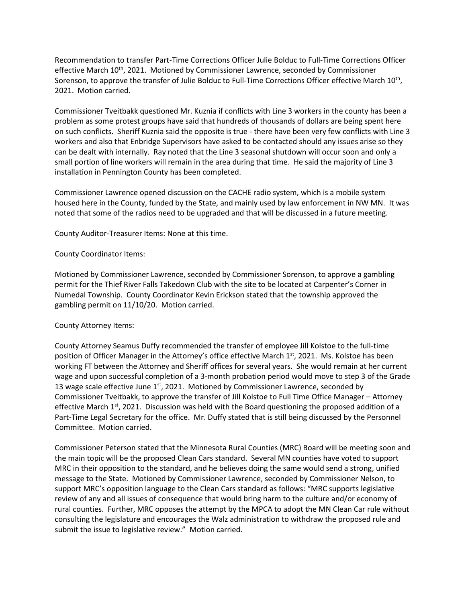Recommendation to transfer Part-Time Corrections Officer Julie Bolduc to Full-Time Corrections Officer effective March 10<sup>th</sup>, 2021. Motioned by Commissioner Lawrence, seconded by Commissioner Sorenson, to approve the transfer of Julie Bolduc to Full-Time Corrections Officer effective March  $10^{\text{th}}$ , 2021. Motion carried.

Commissioner Tveitbakk questioned Mr. Kuznia if conflicts with Line 3 workers in the county has been a problem as some protest groups have said that hundreds of thousands of dollars are being spent here on such conflicts. Sheriff Kuznia said the opposite is true - there have been very few conflicts with Line 3 workers and also that Enbridge Supervisors have asked to be contacted should any issues arise so they can be dealt with internally. Ray noted that the Line 3 seasonal shutdown will occur soon and only a small portion of line workers will remain in the area during that time. He said the majority of Line 3 installation in Pennington County has been completed.

Commissioner Lawrence opened discussion on the CACHE radio system, which is a mobile system housed here in the County, funded by the State, and mainly used by law enforcement in NW MN. It was noted that some of the radios need to be upgraded and that will be discussed in a future meeting.

County Auditor-Treasurer Items: None at this time.

## County Coordinator Items:

Motioned by Commissioner Lawrence, seconded by Commissioner Sorenson, to approve a gambling permit for the Thief River Falls Takedown Club with the site to be located at Carpenter's Corner in Numedal Township. County Coordinator Kevin Erickson stated that the township approved the gambling permit on 11/10/20. Motion carried.

## County Attorney Items:

County Attorney Seamus Duffy recommended the transfer of employee Jill Kolstoe to the full-time position of Officer Manager in the Attorney's office effective March  $1<sup>st</sup>$ , 2021. Ms. Kolstoe has been working FT between the Attorney and Sheriff offices for several years. She would remain at her current wage and upon successful completion of a 3-month probation period would move to step 3 of the Grade 13 wage scale effective June  $1<sup>st</sup>$ , 2021. Motioned by Commissioner Lawrence, seconded by Commissioner Tveitbakk, to approve the transfer of Jill Kolstoe to Full Time Office Manager – Attorney effective March  $1^{st}$ , 2021. Discussion was held with the Board questioning the proposed addition of a Part-Time Legal Secretary for the office. Mr. Duffy stated that is still being discussed by the Personnel Committee. Motion carried.

Commissioner Peterson stated that the Minnesota Rural Counties (MRC) Board will be meeting soon and the main topic will be the proposed Clean Cars standard. Several MN counties have voted to support MRC in their opposition to the standard, and he believes doing the same would send a strong, unified message to the State. Motioned by Commissioner Lawrence, seconded by Commissioner Nelson, to support MRC's opposition language to the Clean Cars standard as follows: "MRC supports legislative review of any and all issues of consequence that would bring harm to the culture and/or economy of rural counties. Further, MRC opposes the attempt by the MPCA to adopt the MN Clean Car rule without consulting the legislature and encourages the Walz administration to withdraw the proposed rule and submit the issue to legislative review." Motion carried.